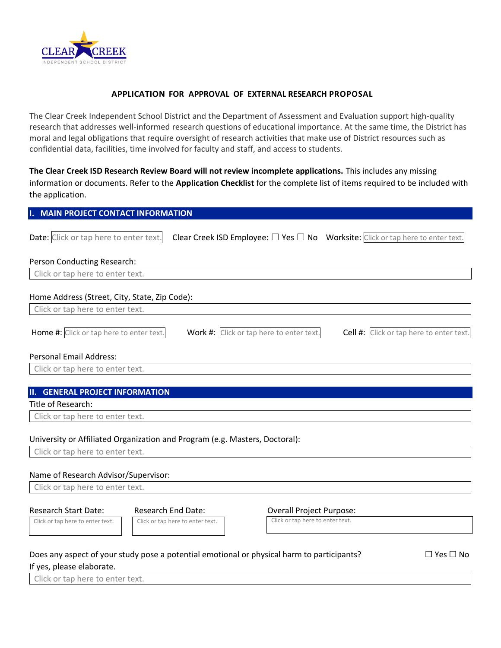

## **APPLICATION FOR APPROVAL OF EXTERNAL RESEARCH PROPOSAL**

The Clear Creek Independent School District and the Department of Assessment and Evaluation support high-quality research that addresses well-informed research questions of educational importance. At the same time, the District has moral and legal obligations that require oversight of research activities that make use of District resources such as confidential data, facilities, time involved for faculty and staff, and access to students.

**The Clear Creek ISD Research Review Board will not review incomplete applications.** This includes any missing information or documents. Refer to the **Application Checklist** for the complete list of items required to be included with the application.

| <b>I. MAIN PROJECT CONTACT INFORMATION</b> |
|--------------------------------------------|
|--------------------------------------------|

| Date: Click or tap here to enter text.                                      | Clear Creek ISD Employee: $\Box$ Yes $\Box$ No Worksite: Click or tap here to enter text.                                            |                                          |
|-----------------------------------------------------------------------------|--------------------------------------------------------------------------------------------------------------------------------------|------------------------------------------|
| Person Conducting Research:                                                 |                                                                                                                                      |                                          |
| Click or tap here to enter text.                                            |                                                                                                                                      |                                          |
| Home Address (Street, City, State, Zip Code):                               |                                                                                                                                      |                                          |
| Click or tap here to enter text.                                            |                                                                                                                                      |                                          |
| Home #: Click or tap here to enter text.                                    | Work #: Click or tap here to enter text.                                                                                             | Cell #: Click or tap here to enter text. |
| <b>Personal Email Address:</b>                                              |                                                                                                                                      |                                          |
| Click or tap here to enter text.                                            |                                                                                                                                      |                                          |
|                                                                             |                                                                                                                                      |                                          |
| <b>II. GENERAL PROJECT INFORMATION</b>                                      |                                                                                                                                      |                                          |
| Title of Research:                                                          |                                                                                                                                      |                                          |
| Click or tap here to enter text.                                            |                                                                                                                                      |                                          |
| University or Affiliated Organization and Program (e.g. Masters, Doctoral): |                                                                                                                                      |                                          |
| Click or tap here to enter text.                                            |                                                                                                                                      |                                          |
| Name of Research Advisor/Supervisor:                                        |                                                                                                                                      |                                          |
| Click or tap here to enter text.                                            |                                                                                                                                      |                                          |
| <b>Research Start Date:</b><br>Click or tap here to enter text.             | <b>Research End Date:</b><br><b>Overall Project Purpose:</b><br>Click or tap here to enter text.<br>Click or tap here to enter text. |                                          |
|                                                                             | Does any aspect of your study pose a potential emotional or physical harm to participants?                                           | $\Box$ Yes $\Box$ No                     |

If yes, please elaborate.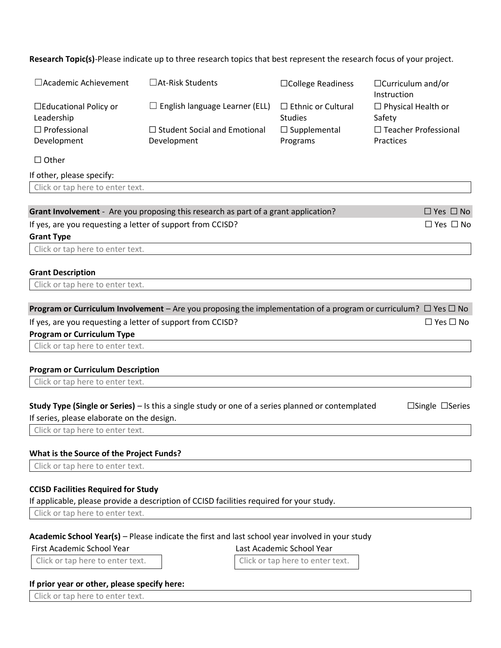**Research Topic(s)**-Please indicate up to three research topics that best represent the research focus of your project.

| □ Academic Achievement                                                                                     | □At-Risk Students                     | □College Readiness                          | $\Box$ Curriculum and/or<br>Instruction                                                                                          |
|------------------------------------------------------------------------------------------------------------|---------------------------------------|---------------------------------------------|----------------------------------------------------------------------------------------------------------------------------------|
| $\Box$ Educational Policy or<br>Leadership                                                                 | $\Box$ English language Learner (ELL) | $\Box$ Ethnic or Cultural<br><b>Studies</b> | $\Box$ Physical Health or<br>Safety                                                                                              |
| $\Box$ Professional                                                                                        | $\Box$ Student Social and Emotional   | $\Box$ Supplemental                         | $\Box$ Teacher Professional                                                                                                      |
| Development                                                                                                | Development                           | Programs                                    | Practices                                                                                                                        |
| $\Box$ Other                                                                                               |                                       |                                             |                                                                                                                                  |
| If other, please specify:                                                                                  |                                       |                                             |                                                                                                                                  |
| Click or tap here to enter text.                                                                           |                                       |                                             |                                                                                                                                  |
|                                                                                                            |                                       |                                             |                                                                                                                                  |
| Grant Involvement - Are you proposing this research as part of a grant application?                        |                                       |                                             | $\Box$ Yes $\Box$ No                                                                                                             |
| If yes, are you requesting a letter of support from CCISD?                                                 |                                       |                                             | $\Box$ Yes $\Box$ No                                                                                                             |
| <b>Grant Type</b>                                                                                          |                                       |                                             |                                                                                                                                  |
| Click or tap here to enter text.                                                                           |                                       |                                             |                                                                                                                                  |
| <b>Grant Description</b>                                                                                   |                                       |                                             |                                                                                                                                  |
| Click or tap here to enter text.                                                                           |                                       |                                             |                                                                                                                                  |
|                                                                                                            |                                       |                                             |                                                                                                                                  |
|                                                                                                            |                                       |                                             | <b>Program or Curriculum Involvement</b> – Are you proposing the implementation of a program or curriculum? $\Box$ Yes $\Box$ No |
| If yes, are you requesting a letter of support from CCISD?                                                 |                                       |                                             | $\Box$ Yes $\Box$ No                                                                                                             |
| <b>Program or Curriculum Type</b>                                                                          |                                       |                                             |                                                                                                                                  |
| Click or tap here to enter text.                                                                           |                                       |                                             |                                                                                                                                  |
|                                                                                                            |                                       |                                             |                                                                                                                                  |
| <b>Program or Curriculum Description</b>                                                                   |                                       |                                             |                                                                                                                                  |
| Click or tap here to enter text.                                                                           |                                       |                                             |                                                                                                                                  |
| <b>Study Type (Single or Series)</b> $-$ Is this a single study or one of a series planned or contemplated |                                       |                                             | $\Box$ Single $\Box$ Series                                                                                                      |
| If series, please elaborate on the design.                                                                 |                                       |                                             |                                                                                                                                  |
| Click or tap here to enter text.                                                                           |                                       |                                             |                                                                                                                                  |
|                                                                                                            |                                       |                                             |                                                                                                                                  |
| What is the Source of the Project Funds?                                                                   |                                       |                                             |                                                                                                                                  |
| Click or tap here to enter text.                                                                           |                                       |                                             |                                                                                                                                  |
|                                                                                                            |                                       |                                             |                                                                                                                                  |
| <b>CCISD Facilities Required for Study</b>                                                                 |                                       |                                             |                                                                                                                                  |
| If applicable, please provide a description of CCISD facilities required for your study.                   |                                       |                                             |                                                                                                                                  |
| Click or tap here to enter text.                                                                           |                                       |                                             |                                                                                                                                  |
| Academic School Year(s) - Please indicate the first and last school year involved in your study            |                                       |                                             |                                                                                                                                  |
| <b>First Academic School Year</b>                                                                          |                                       | Last Academic School Year                   |                                                                                                                                  |
| Click or tap here to enter text.                                                                           |                                       | Click or tap here to enter text.            |                                                                                                                                  |
|                                                                                                            |                                       |                                             |                                                                                                                                  |
| If prior year or other, please specify here:                                                               |                                       |                                             |                                                                                                                                  |
|                                                                                                            |                                       |                                             |                                                                                                                                  |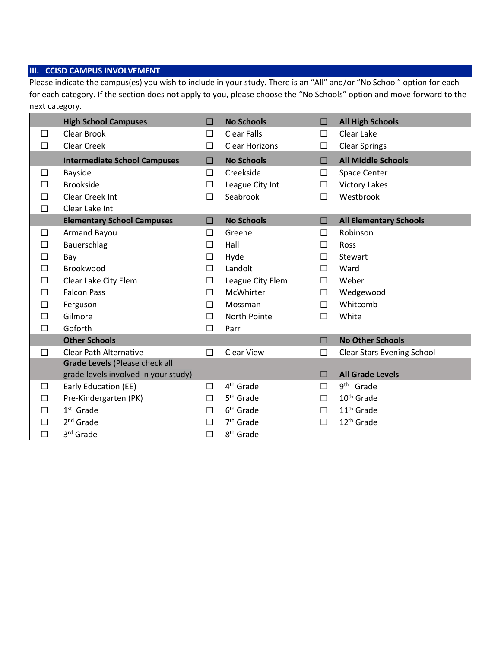# **III. CCISD CAMPUS INVOLVEMENT**

Please indicate the campus(es) you wish to include in your study. There is an "All" and/or "No School" option for each for each category. If the section does not apply to you, please choose the "No Schools" option and move forward to the next category.

|        | <b>High School Campuses</b>          | П      | <b>No Schools</b>     | □      | <b>All High Schools</b>           |
|--------|--------------------------------------|--------|-----------------------|--------|-----------------------------------|
| □      | Clear Brook                          | □      | <b>Clear Falls</b>    | $\Box$ | Clear Lake                        |
| $\Box$ | Clear Creek                          | □      | <b>Clear Horizons</b> | $\Box$ | <b>Clear Springs</b>              |
|        | <b>Intermediate School Campuses</b>  | □      | <b>No Schools</b>     | П      | <b>All Middle Schools</b>         |
| □      | <b>Bayside</b>                       | П      | Creekside             | $\Box$ | Space Center                      |
| П      | <b>Brookside</b>                     | $\Box$ | League City Int       | $\Box$ | <b>Victory Lakes</b>              |
| П      | <b>Clear Creek Int</b>               | П      | Seabrook              | $\Box$ | Westbrook                         |
| $\Box$ | Clear Lake Int                       |        |                       |        |                                   |
|        | <b>Elementary School Campuses</b>    | □      | <b>No Schools</b>     | $\Box$ | <b>All Elementary Schools</b>     |
| $\Box$ | Armand Bayou                         | $\Box$ | Greene                | П      | Robinson                          |
| П      | Bauerschlag                          | $\Box$ | Hall                  | $\Box$ | Ross                              |
| П      | Bay                                  | □      | Hyde                  | $\Box$ | Stewart                           |
| П      | Brookwood                            | П      | Landolt               | □      | Ward                              |
| П      | Clear Lake City Elem                 | П      | League City Elem      | $\Box$ | Weber                             |
| П      | <b>Falcon Pass</b>                   | П      | McWhirter             | $\Box$ | Wedgewood                         |
| П      | Ferguson                             | П      | Mossman               | $\Box$ | Whitcomb                          |
| П      | Gilmore                              | □      | North Pointe          | П      | White                             |
| $\Box$ | Goforth                              | П      | Parr                  |        |                                   |
|        | <b>Other Schools</b>                 |        |                       | $\Box$ | <b>No Other Schools</b>           |
| П      | <b>Clear Path Alternative</b>        | П      | <b>Clear View</b>     | П      | <b>Clear Stars Evening School</b> |
|        | Grade Levels (Please check all       |        |                       |        |                                   |
|        | grade levels involved in your study) |        |                       | П      | <b>All Grade Levels</b>           |
| □      | Early Education (EE)                 | $\Box$ | 4 <sup>th</sup> Grade | □      | 9 <sup>th</sup> Grade             |
| П      | Pre-Kindergarten (PK)                | П      | 5 <sup>th</sup> Grade | П      | 10 <sup>th</sup> Grade            |
|        | $1st$ Grade                          | П      | 6 <sup>th</sup> Grade | $\Box$ | 11 <sup>th</sup> Grade            |
| П      | $2nd$ Grade                          | П      | 7 <sup>th</sup> Grade | $\Box$ | 12 <sup>th</sup> Grade            |
| П      | 3 <sup>rd</sup> Grade                | П      | 8 <sup>th</sup> Grade |        |                                   |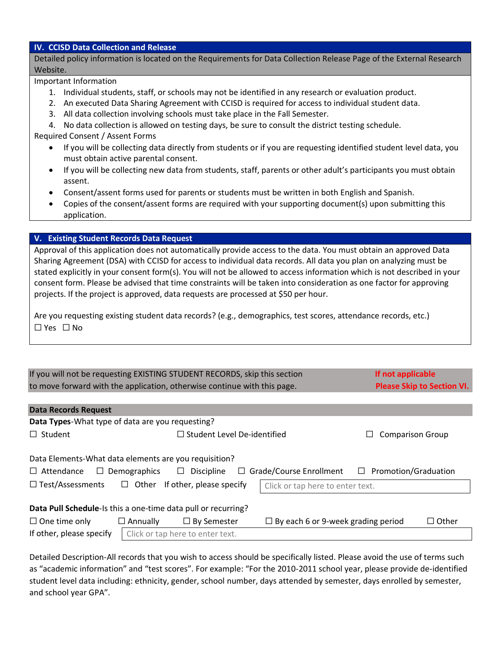## **IV. CCISD Data Collection and Release**

Detailed policy information is located on the Requirements for Data Collection Release Page of the External Research Website.

Important Information

- 1. Individual students, staff, or schools may not be identified in any research or evaluation product.
- 2. An executed Data Sharing Agreement with CCISD is required for access to individual student data.
- 3. All data collection involving schools must take place in the Fall Semester.

4. No data collection is allowed on testing days, be sure to consult the district testing schedule.

Required Consent / Assent Forms

- If you will be collecting data directly from students or if you are requesting identified student level data, you must obtain active parental consent.
- If you will be collecting new data from students, staff, parents or other adult's participants you must obtain assent.
- Consent/assent forms used for parents or students must be written in both English and Spanish.
- Copies of the consent/assent forms are required with your supporting document(s) upon submitting this application.

# **V. Existing Student Records Data Request**

Approval of this application does not automatically provide access to the data. You must obtain an approved Data Sharing Agreement (DSA) with CCISD for access to individual data records. All data you plan on analyzing must be stated explicitly in your consent form(s). You will not be allowed to access information which is not described in your consent form. Please be advised that time constraints will be taken into consideration as one factor for approving projects. If the project is approved, data requests are processed at \$50 per hour.

Are you requesting existing student data records? (e.g., demographics, test scores, attendance records, etc.) ☐ Yes ☐ No

| If you will not be requesting EXISTING STUDENT RECORDS, skip this section | If not applicable                 |
|---------------------------------------------------------------------------|-----------------------------------|
| to move forward with the application, otherwise continue with this page.  | <b>Please Skip to Section VI.</b> |

| <b>Data Records Request</b>                                                                                                                                                             |                                                               |                                  |                                           |  |              |  |  |  |  |
|-----------------------------------------------------------------------------------------------------------------------------------------------------------------------------------------|---------------------------------------------------------------|----------------------------------|-------------------------------------------|--|--------------|--|--|--|--|
| Data Types-What type of data are you requesting?                                                                                                                                        |                                                               |                                  |                                           |  |              |  |  |  |  |
| $\Box$ Student                                                                                                                                                                          | $\Box$ Student Level De-identified<br><b>Comparison Group</b> |                                  |                                           |  |              |  |  |  |  |
| Data Elements-What data elements are you requisition?<br>$\Box$ Grade/Course Enrollment<br>$\Box$ Promotion/Graduation<br>$\Box$ Discipline<br>$\Box$ Attendance<br>$\Box$ Demographics |                                                               |                                  |                                           |  |              |  |  |  |  |
| $\Box$ Test/Assessments<br>$\Box$ Other If other, please specify<br>Click or tap here to enter text.                                                                                    |                                                               |                                  |                                           |  |              |  |  |  |  |
| Data Pull Schedule-Is this a one-time data pull or recurring?                                                                                                                           |                                                               |                                  |                                           |  |              |  |  |  |  |
| $\Box$ One time only                                                                                                                                                                    | $\Box$ Annually                                               | $\Box$ By Semester               | $\Box$ By each 6 or 9-week grading period |  | $\Box$ Other |  |  |  |  |
| If other, please specify                                                                                                                                                                |                                                               | Click or tap here to enter text. |                                           |  |              |  |  |  |  |

Detailed Description-All records that you wish to access should be specifically listed. Please avoid the use of terms such as "academic information" and "test scores". For example: "For the 2010-2011 school year, please provide de-identified student level data including: ethnicity, gender, school number, days attended by semester, days enrolled by semester, and school year GPA".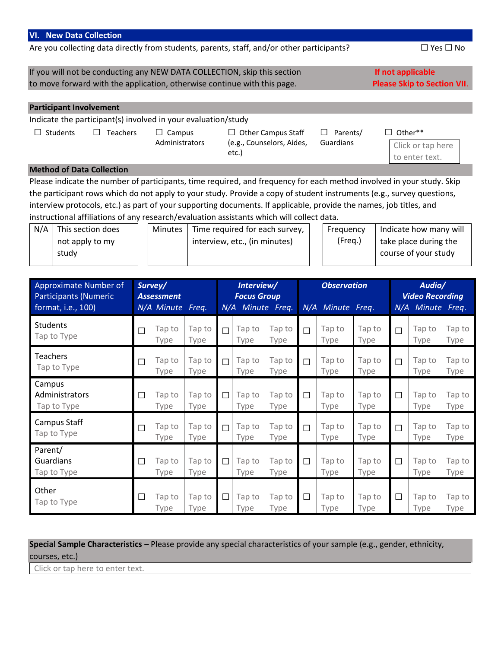#### **VI. New Data Collection**

Are you collecting data directly from students, parents, staff, and/or other participants?  $\Box$  Yes  $\Box$  No

If you will not be conducting any NEW DATA COLLECTION, skip this section **If not applicable** to move forward with the application, otherwise continue with this page. **Please Skip to Section VII**.

## **Participant Involvement**

Indicate the participant(s) involved in your evaluation/study ☐ Students ☐ Teachers ☐ Campus □ Other Campus Staff ☐ Parents/

Administrators

(e.g., Counselors, Aides, etc.)

Guardians

Click or tap here to enter text.

□ Other\*\*

#### **Method of Data Collection**

Please indicate the number of participants, time required, and frequency for each method involved in your study. Skip the participant rows which do not apply to your study. Provide a copy of student instruments (e.g., survey questions, interview protocols, etc.) as part of your supporting documents. If applicable, provide the names, job titles, and instructional affiliations of any research/evaluation assistants which will collect data.

| N/A | This section does | <b>Minutes</b> | Time required for each survey, | Frequency | Indicate how many will |
|-----|-------------------|----------------|--------------------------------|-----------|------------------------|
|     | not apply to my   |                | interview, etc., (in minutes)  | (Freg.)   | take place during the  |
|     | study             |                |                                |           | course of your study   |
|     |                   |                |                                |           |                        |

| Approximate Number of<br><b>Participants (Numeric</b><br>format, i.e., 100) |        | Survey/<br><b>Assessment</b><br>N/A Minute Freq. |                |        | Interview/<br><b>Focus Group</b><br>N/A Minute Freq. |                |        | <b>Observation</b><br>N/A Minute Freq. |                | N/A    | Audio/<br><b>Video Recording</b><br>Minute Freq. |                |
|-----------------------------------------------------------------------------|--------|--------------------------------------------------|----------------|--------|------------------------------------------------------|----------------|--------|----------------------------------------|----------------|--------|--------------------------------------------------|----------------|
| <b>Students</b><br>Tap to Type                                              | $\Box$ | Tap to<br>Type                                   | Tap to<br>Type | $\Box$ | Tap to<br>Type                                       | Tap to<br>Type | $\Box$ | Tap to<br>Type                         | Tap to<br>Type | П      | Tap to<br>Type                                   | Tap to<br>Type |
| Teachers<br>Tap to Type                                                     | □      | Tap to<br>Type                                   | Tap to<br>Type | $\Box$ | Tap to<br>Type                                       | Tap to<br>Type | $\Box$ | Tap to<br>Type                         | Tap to<br>Type | $\Box$ | Tap to<br>Type                                   | Tap to<br>Type |
| Campus<br>Administrators<br>Tap to Type                                     | $\Box$ | Tap to<br>Type                                   | Tap to<br>Type | $\Box$ | Tap to<br>Type                                       | Tap to<br>Type | $\Box$ | Tap to<br>Type                         | Tap to<br>Type | $\Box$ | Tap to<br>Type                                   | Tap to<br>Type |
| Campus Staff<br>Tap to Type                                                 | $\Box$ | Tap to<br>Type                                   | Tap to<br>Type | $\Box$ | Tap to<br>Type                                       | Tap to<br>Type | $\Box$ | Tap to<br>Type                         | Tap to<br>Type | П      | Tap to<br>Type                                   | Tap to<br>Type |
| Parent/<br>Guardians<br>Tap to Type                                         | $\Box$ | Tap to<br>Type                                   | Tap to<br>Type | $\Box$ | Tap to<br>Type                                       | Tap to<br>Type | $\Box$ | Tap to<br>Type                         | Tap to<br>Type | $\Box$ | Tap to<br>Type                                   | Tap to<br>Type |
| Other<br>Tap to Type                                                        | $\Box$ | Tap to<br>Type                                   | Tap to<br>Type | $\Box$ | Tap to<br>Type                                       | Tap to<br>Type | $\Box$ | Tap to<br>Type                         | Tap to<br>Type | $\Box$ | Tap to<br>Type                                   | Tap to<br>Type |

# **Special Sample Characteristics** – Please provide any special characteristics of your sample (e.g., gender, ethnicity, courses, etc.)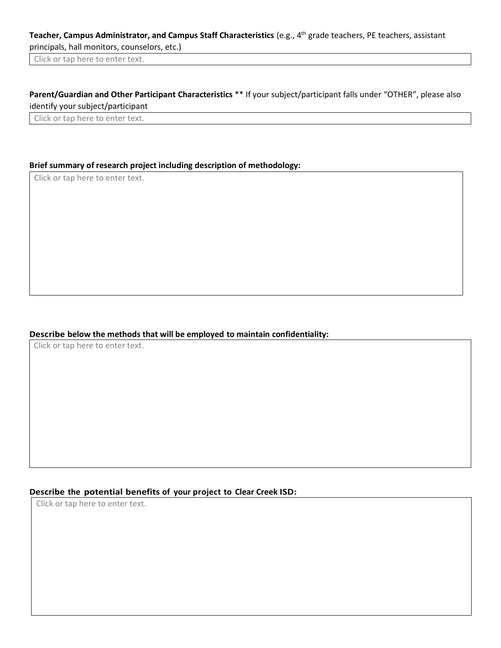# **Teacher, Campus Administrator, and Campus Staff Characteristics** (e.g., 4th grade teachers, PE teachers, assistant principals, hall monitors, counselors, etc.)

Click or tap here to enter text.

# **Parent/Guardian and Other Participant Characteristics** \*\* If your subject/participant falls under "OTHER", please also identify your subject/participant

Click or tap here to enter text.

# **Brief summary of research project including description of methodology:**

Click or tap here to enter text.

#### **Describe below the methods that will be employed to maintain confidentiality:**

Click or tap here to enter text.

## **Describe the potential benefits of your project to Clear Creek ISD:**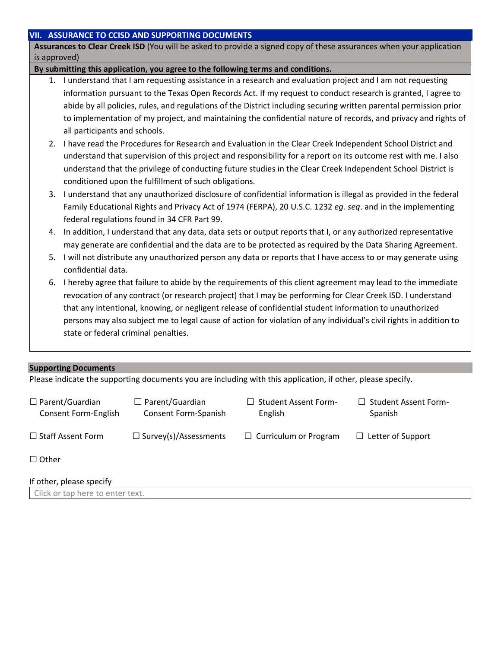### **VII. ASSURANCE TO CCISD AND SUPPORTING DOCUMENTS**

**Assurances to Clear Creek ISD** (You will be asked to provide a signed copy of these assurances when your application is approved)

### **By submitting this application, you agree to the following terms and conditions.**

- 1. I understand that I am requesting assistance in a research and evaluation project and I am not requesting information pursuant to the Texas Open Records Act. If my request to conduct research is granted, I agree to abide by all policies, rules, and regulations of the District including securing written parental permission prior to implementation of my project, and maintaining the confidential nature of records, and privacy and rights of all participants and schools.
- 2. I have read the Procedures for Research and Evaluation in the Clear Creek Independent School District and understand that supervision of this project and responsibility for a report on its outcome rest with me. I also understand that the privilege of conducting future studies in the Clear Creek Independent School District is conditioned upon the fulfillment of such obligations.
- 3. I understand that any unauthorized disclosure of confidential information is illegal as provided in the federal Family Educational Rights and Privacy Act of 1974 (FERPA), 20 U.S.C. 1232 *eg. seq*. and in the implementing federal regulations found in 34 CFR Part 99.
- 4. In addition, I understand that any data, data sets or output reports that I, or any authorized representative may generate are confidential and the data are to be protected as required by the Data Sharing Agreement.
- 5. I will not distribute any unauthorized person any data or reports that I have access to or may generate using confidential data.
- 6. I hereby agree that failure to abide by the requirements of this client agreement may lead to the immediate revocation of any contract (or research project) that I may be performing for Clear Creek ISD. I understand that any intentional, knowing, or negligent release of confidential student information to unauthorized persons may also subject me to legal cause of action for violation of any individual's civil rights in addition to state or federal criminal penalties.

## **Supporting Documents**

Please indicate the supporting documents you are including with this application, if other, please specify.

| $\Box$ Parent/Guardian<br>Consent Form-English              | $\Box$ Parent/Guardian<br>Consent Form-Spanish | $\Box$ Student Assent Form-<br>English | $\Box$ Student Assent Form-<br>Spanish |
|-------------------------------------------------------------|------------------------------------------------|----------------------------------------|----------------------------------------|
| $\Box$ Staff Assent Form                                    | $\Box$ Survey(s)/Assessments                   | $\Box$ Curriculum or Program           | $\Box$ Letter of Support               |
| $\Box$ Other                                                |                                                |                                        |                                        |
| If other, please specify<br>Click or tan hara to antar tayt |                                                |                                        |                                        |